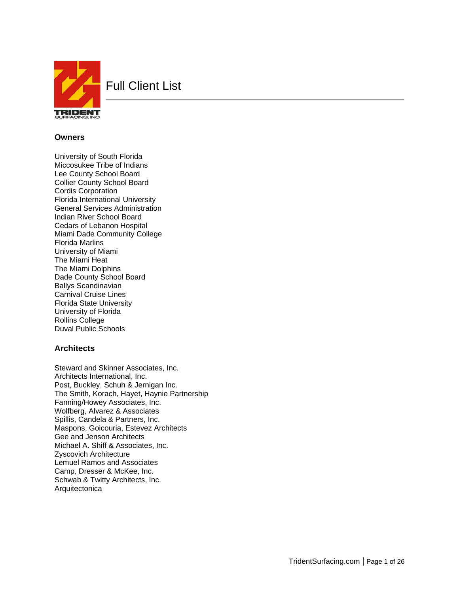

Full Client List

## **Owners**

University of South Florida Miccosukee Tribe of Indians Lee County School Board Collier County School Board Cordis Corporation Florida International University General Services Administration Indian River School Board Cedars of Lebanon Hospital Miami Dade Community College Florida Marlins University of Miami The Miami Heat The Miami Dolphins Dade County School Board Ballys Scandinavian Carnival Cruise Lines Florida State University University of Florida Rollins College Duval Public Schools

## **Architects**

Steward and Skinner Associates, Inc. Architects International, Inc. Post, Buckley, Schuh & Jernigan Inc. The Smith, Korach, Hayet, Haynie Partnership Fanning/Howey Associates, Inc. Wolfberg, Alvarez & Associates Spillis, Candela & Partners, Inc. Maspons, Goicouria, Estevez Architects Gee and Jenson Architects Michael A. Shiff & Associates, Inc. Zyscovich Architecture Lemuel Ramos and Associates Camp, Dresser & McKee, Inc. Schwab & Twitty Architects, Inc. **Arquitectonica**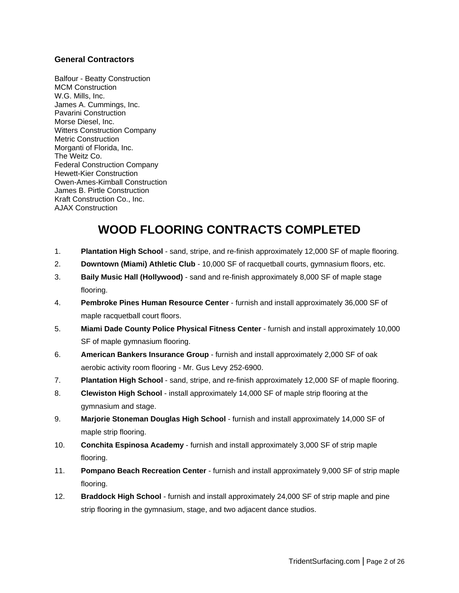## **General Contractors**

Balfour - Beatty Construction MCM Construction W.G. Mills, Inc. James A. Cummings, Inc. Pavarini Construction Morse Diesel, Inc. Witters Construction Company Metric Construction Morganti of Florida, Inc. The Weitz Co. Federal Construction Company Hewett-Kier Construction Owen-Ames-Kimball Construction James B. Pirtle Construction Kraft Construction Co., Inc. AJAX Construction

# **WOOD FLOORING CONTRACTS COMPLETED**

- 1. **Plantation High School** sand, stripe, and re-finish approximately 12,000 SF of maple flooring.
- 2. **Downtown (Miami) Athletic Club** 10,000 SF of racquetball courts, gymnasium floors, etc.
- 3. **Baily Music Hall (Hollywood)** sand and re-finish approximately 8,000 SF of maple stage flooring.
- 4. **Pembroke Pines Human Resource Center** furnish and install approximately 36,000 SF of maple racquetball court floors.
- 5. **Miami Dade County Police Physical Fitness Center** furnish and install approximately 10,000 SF of maple gymnasium flooring.
- 6. **American Bankers Insurance Group** furnish and install approximately 2,000 SF of oak aerobic activity room flooring - Mr. Gus Levy 252-6900.
- 7. **Plantation High School** sand, stripe, and re-finish approximately 12,000 SF of maple flooring.
- 8. **Clewiston High School** install approximately 14,000 SF of maple strip flooring at the gymnasium and stage.
- 9. **Marjorie Stoneman Douglas High School** furnish and install approximately 14,000 SF of maple strip flooring.
- 10. **Conchita Espinosa Academy** furnish and install approximately 3,000 SF of strip maple flooring.
- 11. **Pompano Beach Recreation Center** furnish and install approximately 9,000 SF of strip maple flooring.
- 12. **Braddock High School** furnish and install approximately 24,000 SF of strip maple and pine strip flooring in the gymnasium, stage, and two adjacent dance studios.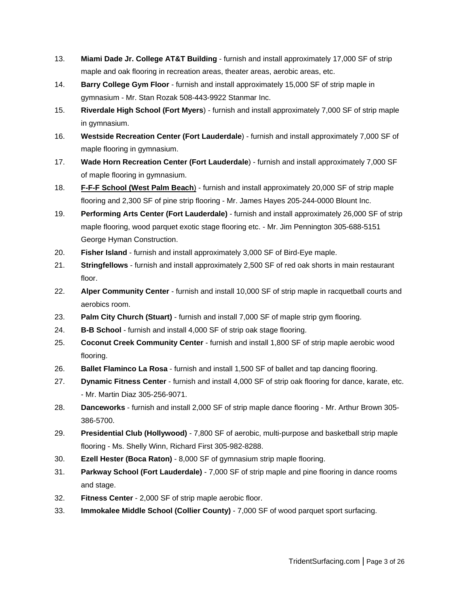- 13. **Miami Dade Jr. College AT&T Building** furnish and install approximately 17,000 SF of strip maple and oak flooring in recreation areas, theater areas, aerobic areas, etc.
- 14. **Barry College Gym Floor** furnish and install approximately 15,000 SF of strip maple in gymnasium - Mr. Stan Rozak 508-443-9922 Stanmar Inc.
- 15. **Riverdale High School (Fort Myers**) furnish and install approximately 7,000 SF of strip maple in gymnasium.
- 16. **Westside Recreation Center (Fort Lauderdale**) furnish and install approximately 7,000 SF of maple flooring in gymnasium.
- 17. **Wade Horn Recreation Center (Fort Lauderdale**) furnish and install approximately 7,000 SF of maple flooring in gymnasium.
- 18. **F-F-F School (West Palm Beach**) furnish and install approximately 20,000 SF of strip maple flooring and 2,300 SF of pine strip flooring - Mr. James Hayes 205-244-0000 Blount Inc.
- 19. **Performing Arts Center (Fort Lauderdale)** furnish and install approximately 26,000 SF of strip maple flooring, wood parquet exotic stage flooring etc. - Mr. Jim Pennington 305-688-5151 George Hyman Construction.
- 20. **Fisher Island** furnish and install approximately 3,000 SF of Bird-Eye maple.
- 21. **Stringfellows** furnish and install approximately 2,500 SF of red oak shorts in main restaurant floor.
- 22. **Alper Community Center** furnish and install 10,000 SF of strip maple in racquetball courts and aerobics room.
- 23. **Palm City Church (Stuart)** furnish and install 7,000 SF of maple strip gym flooring.
- 24. **B-B School** furnish and install 4,000 SF of strip oak stage flooring.
- 25. **Coconut Creek Community Center** furnish and install 1,800 SF of strip maple aerobic wood flooring.
- 26. **Ballet Flaminco La Rosa** furnish and install 1,500 SF of ballet and tap dancing flooring.
- 27. **Dynamic Fitness Center** furnish and install 4,000 SF of strip oak flooring for dance, karate, etc. - Mr. Martin Diaz 305-256-9071.
- 28. **Danceworks** furnish and install 2,000 SF of strip maple dance flooring Mr. Arthur Brown 305- 386-5700.
- 29. **Presidential Club (Hollywood)** 7,800 SF of aerobic, multi-purpose and basketball strip maple flooring - Ms. Shelly Winn, Richard First 305-982-8288.
- 30. **Ezell Hester (Boca Raton)** 8,000 SF of gymnasium strip maple flooring.
- 31. **Parkway School (Fort Lauderdale)** 7,000 SF of strip maple and pine flooring in dance rooms and stage.
- 32. **Fitness Center** 2,000 SF of strip maple aerobic floor.
- 33. **Immokalee Middle School (Collier County)** 7,000 SF of wood parquet sport surfacing.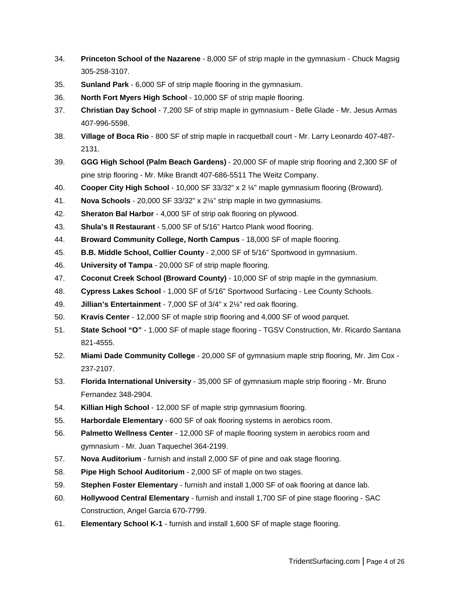- 34. **Princeton School of the Nazarene** 8,000 SF of strip maple in the gymnasium Chuck Magsig 305-258-3107.
- 35. **Sunland Park** 6,000 SF of strip maple flooring in the gymnasium.
- 36. **North Fort Myers High School** 10,000 SF of strip maple flooring.
- 37. **Christian Day School** 7,200 SF of strip maple in gymnasium Belle Glade Mr. Jesus Armas 407-996-5598.
- 38. **Village of Boca Rio** 800 SF of strip maple in racquetball court Mr. Larry Leonardo 407-487- 2131.
- 39. **GGG High School (Palm Beach Gardens)** 20,000 SF of maple strip flooring and 2,300 SF of pine strip flooring - Mr. Mike Brandt 407-686-5511 The Weitz Company.
- 40. **Cooper City High School** 10,000 SF 33/32" x 2 ¼" maple gymnasium flooring (Broward).
- 41. **Nova Schools** 20,000 SF 33/32" x 2¼" strip maple in two gymnasiums.
- 42. **Sheraton Bal Harbor** 4,000 SF of strip oak flooring on plywood.
- 43. **Shula's II Restaurant** 5,000 SF of 5/16" Hartco Plank wood flooring.
- 44. **Broward Community College, North Campus** 18,000 SF of maple flooring.
- 45. **B.B. Middle School, Collier County** 2,000 SF of 5/16" Sportwood in gymnasium.
- 46. **University of Tampa** 20,000 SF of strip maple flooring.
- 47. **Coconut Creek School (Broward County)** 10,000 SF of strip maple in the gymnasium.
- 48. **Cypress Lakes School** 1,000 SF of 5/16" Sportwood Surfacing Lee County Schools.
- 49. **Jillian's Entertainment** 7,000 SF of 3/4" x 2¼" red oak flooring.
- 50. **Kravis Center** 12,000 SF of maple strip flooring and 4,000 SF of wood parquet.
- 51. **State School "O"** 1,000 SF of maple stage flooring TGSV Construction, Mr. Ricardo Santana 821-4555.
- 52. **Miami Dade Community College** 20,000 SF of gymnasium maple strip flooring, Mr. Jim Cox 237-2107.
- 53. **Florida International University** 35,000 SF of gymnasium maple strip flooring Mr. Bruno Fernandez 348-2904.
- 54. **Killian High School** 12,000 SF of maple strip gymnasium flooring.
- 55. **Harbordale Elementary** 600 SF of oak flooring systems in aerobics room.
- 56. **Palmetto Wellness Center** 12,000 SF of maple flooring system in aerobics room and gymnasium - Mr. Juan Taquechel 364-2199.
- 57. **Nova Auditorium** furnish and install 2,000 SF of pine and oak stage flooring.
- 58. **Pipe High School Auditorium** 2,000 SF of maple on two stages.
- 59. **Stephen Foster Elementary** furnish and install 1,000 SF of oak flooring at dance lab.
- 60. **Hollywood Central Elementary** furnish and install 1,700 SF of pine stage flooring SAC Construction, Angel Garcia 670-7799.
- 61. **Elementary School K-1** furnish and install 1,600 SF of maple stage flooring.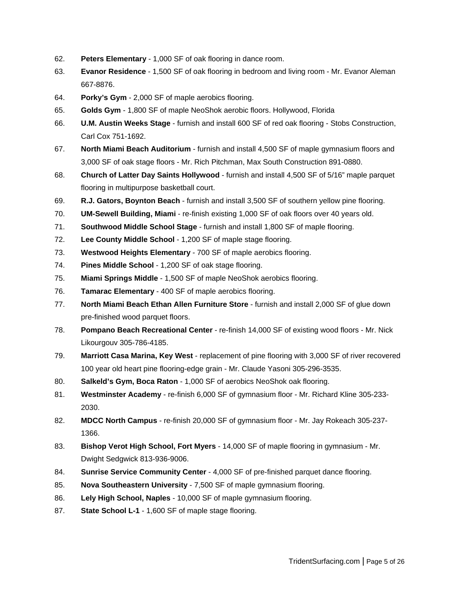- 62. **Peters Elementary** 1,000 SF of oak flooring in dance room.
- 63. **Evanor Residence** 1,500 SF of oak flooring in bedroom and living room Mr. Evanor Aleman 667-8876.
- 64. **Porky's Gym** 2,000 SF of maple aerobics flooring.
- 65. **Golds Gym** 1,800 SF of maple NeoShok aerobic floors. Hollywood, Florida
- 66. **U.M. Austin Weeks Stage** furnish and install 600 SF of red oak flooring Stobs Construction, Carl Cox 751-1692.
- 67. **North Miami Beach Auditorium** furnish and install 4,500 SF of maple gymnasium floors and 3,000 SF of oak stage floors - Mr. Rich Pitchman, Max South Construction 891-0880.
- 68. **Church of Latter Day Saints Hollywood** furnish and install 4,500 SF of 5/16" maple parquet flooring in multipurpose basketball court.
- 69. **R.J. Gators, Boynton Beach** furnish and install 3,500 SF of southern yellow pine flooring.
- 70. **UM-Sewell Building, Miami** re-finish existing 1,000 SF of oak floors over 40 years old.
- 71. **Southwood Middle School Stage** furnish and install 1,800 SF of maple flooring.
- 72. **Lee County Middle School** 1,200 SF of maple stage flooring.
- 73. **Westwood Heights Elementary** 700 SF of maple aerobics flooring.
- 74. **Pines Middle School** 1,200 SF of oak stage flooring.
- 75. **Miami Springs Middle** 1,500 SF of maple NeoShok aerobics flooring.
- 76. **Tamarac Elementary** 400 SF of maple aerobics flooring.
- 77. **North Miami Beach Ethan Allen Furniture Store** furnish and install 2,000 SF of glue down pre-finished wood parquet floors.
- 78. **Pompano Beach Recreational Center** re-finish 14,000 SF of existing wood floors Mr. Nick Likourgouv 305-786-4185.
- 79. **Marriott Casa Marina, Key West** replacement of pine flooring with 3,000 SF of river recovered 100 year old heart pine flooring-edge grain - Mr. Claude Yasoni 305-296-3535.
- 80. **Salkeld's Gym, Boca Raton** 1,000 SF of aerobics NeoShok oak flooring.
- 81. **Westminster Academy** re-finish 6,000 SF of gymnasium floor Mr. Richard Kline 305-233- 2030.
- 82. **MDCC North Campus** re-finish 20,000 SF of gymnasium floor Mr. Jay Rokeach 305-237- 1366.
- 83. **Bishop Verot High School, Fort Myers** 14,000 SF of maple flooring in gymnasium Mr. Dwight Sedgwick 813-936-9006.
- 84. **Sunrise Service Community Center** 4,000 SF of pre-finished parquet dance flooring.
- 85. **Nova Southeastern University** 7,500 SF of maple gymnasium flooring.
- 86. **Lely High School, Naples** 10,000 SF of maple gymnasium flooring.
- 87. **State School L-1** 1,600 SF of maple stage flooring.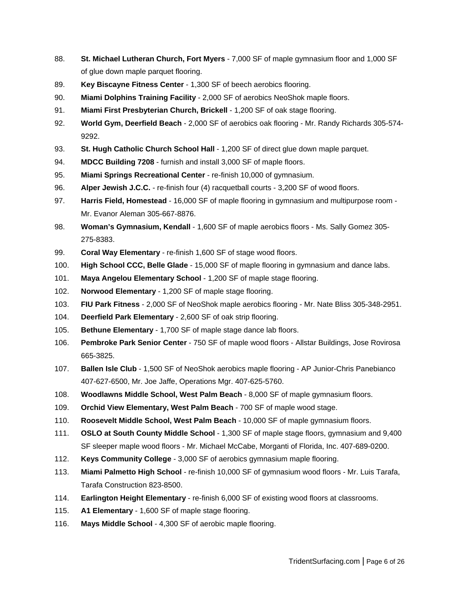- 88. **St. Michael Lutheran Church, Fort Myers** 7,000 SF of maple gymnasium floor and 1,000 SF of glue down maple parquet flooring.
- 89. **Key Biscayne Fitness Center** 1,300 SF of beech aerobics flooring.
- 90. **Miami Dolphins Training Facility** 2,000 SF of aerobics NeoShok maple floors.
- 91. **Miami First Presbyterian Church, Brickell** 1,200 SF of oak stage flooring.
- 92. **World Gym, Deerfield Beach** 2,000 SF of aerobics oak flooring Mr. Randy Richards 305-574- 9292.
- 93. **St. Hugh Catholic Church School Hall** 1,200 SF of direct glue down maple parquet.
- 94. **MDCC Building 7208** furnish and install 3,000 SF of maple floors.
- 95. **Miami Springs Recreational Center** re-finish 10,000 of gymnasium.
- 96. **Alper Jewish J.C.C.** re-finish four (4) racquetball courts 3,200 SF of wood floors.
- 97. **Harris Field, Homestead** 16,000 SF of maple flooring in gymnasium and multipurpose room Mr. Evanor Aleman 305-667-8876.
- 98. **Woman's Gymnasium, Kendall** 1,600 SF of maple aerobics floors Ms. Sally Gomez 305- 275-8383.
- 99. **Coral Way Elementary** re-finish 1,600 SF of stage wood floors.
- 100. **High School CCC, Belle Glade** 15,000 SF of maple flooring in gymnasium and dance labs.
- 101. **Maya Angelou Elementary School** 1,200 SF of maple stage flooring.
- 102. **Norwood Elementary** 1,200 SF of maple stage flooring.
- 103. **FIU Park Fitness** 2,000 SF of NeoShok maple aerobics flooring Mr. Nate Bliss 305-348-2951.
- 104. **Deerfield Park Elementary** 2,600 SF of oak strip flooring.
- 105. **Bethune Elementary** 1,700 SF of maple stage dance lab floors.
- 106. **Pembroke Park Senior Center** 750 SF of maple wood floors Allstar Buildings, Jose Rovirosa 665-3825.
- 107. **Ballen Isle Club** 1,500 SF of NeoShok aerobics maple flooring AP Junior-Chris Panebianco 407-627-6500, Mr. Joe Jaffe, Operations Mgr. 407-625-5760.
- 108. **Woodlawns Middle School, West Palm Beach** 8,000 SF of maple gymnasium floors.
- 109. **Orchid View Elementary, West Palm Beach** 700 SF of maple wood stage.
- 110. **Roosevelt Middle School, West Palm Beach** 10,000 SF of maple gymnasium floors.
- 111. **OSLO at South County Middle School** 1,300 SF of maple stage floors, gymnasium and 9,400 SF sleeper maple wood floors - Mr. Michael McCabe, Morganti of Florida, Inc. 407-689-0200.
- 112. **Keys Community College** 3,000 SF of aerobics gymnasium maple flooring.
- 113. **Miami Palmetto High School** re-finish 10,000 SF of gymnasium wood floors Mr. Luis Tarafa, Tarafa Construction 823-8500.
- 114. **Earlington Height Elementary** re-finish 6,000 SF of existing wood floors at classrooms.
- 115. **A1 Elementary** 1,600 SF of maple stage flooring.
- 116. **Mays Middle School** 4,300 SF of aerobic maple flooring.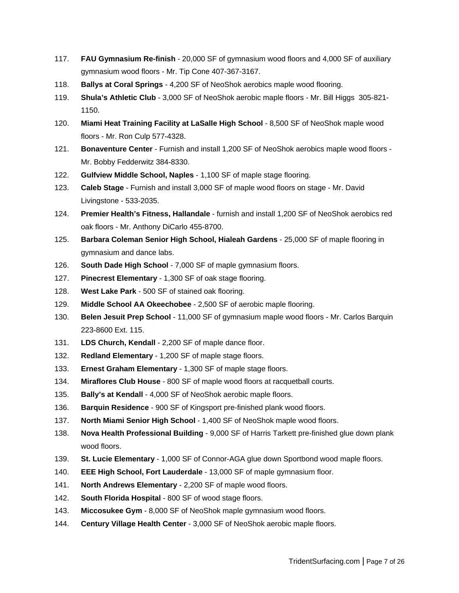- 117. **FAU Gymnasium Re-finish** 20,000 SF of gymnasium wood floors and 4,000 SF of auxiliary gymnasium wood floors - Mr. Tip Cone 407-367-3167.
- 118. **Ballys at Coral Springs** 4,200 SF of NeoShok aerobics maple wood flooring.
- 119. **Shula's Athletic Club** 3,000 SF of NeoShok aerobic maple floors Mr. Bill Higgs 305-821- 1150.
- 120. **Miami Heat Training Facility at LaSalle High School** 8,500 SF of NeoShok maple wood floors - Mr. Ron Culp 577-4328.
- 121. **Bonaventure Center** Furnish and install 1,200 SF of NeoShok aerobics maple wood floors Mr. Bobby Fedderwitz 384-8330.
- 122. **Gulfview Middle School, Naples** 1,100 SF of maple stage flooring.
- 123. **Caleb Stage** Furnish and install 3,000 SF of maple wood floors on stage Mr. David Livingstone - 533-2035.
- 124. **Premier Health's Fitness, Hallandale** furnish and install 1,200 SF of NeoShok aerobics red oak floors - Mr. Anthony DiCarlo 455-8700.
- 125. **Barbara Coleman Senior High School, Hialeah Gardens** 25,000 SF of maple flooring in gymnasium and dance labs.
- 126. **South Dade High School** 7,000 SF of maple gymnasium floors.
- 127. **Pinecrest Elementary** 1,300 SF of oak stage flooring.
- 128. **West Lake Park** 500 SF of stained oak flooring.
- 129. **Middle School AA Okeechobee** 2,500 SF of aerobic maple flooring.
- 130. **Belen Jesuit Prep School** 11,000 SF of gymnasium maple wood floors Mr. Carlos Barquin 223-8600 Ext. 115.
- 131. **LDS Church, Kendall** 2,200 SF of maple dance floor.
- 132. **Redland Elementary** 1,200 SF of maple stage floors.
- 133. **Ernest Graham Elementary** 1,300 SF of maple stage floors.
- 134. **Miraflores Club House** 800 SF of maple wood floors at racquetball courts.
- 135. **Bally's at Kendall** 4,000 SF of NeoShok aerobic maple floors.
- 136. **Barquin Residence** 900 SF of Kingsport pre-finished plank wood floors.
- 137. **North Miami Senior High School** 1,400 SF of NeoShok maple wood floors.
- 138. **Nova Health Professional Building** 9,000 SF of Harris Tarkett pre-finished glue down plank wood floors.
- 139. **St. Lucie Elementary** 1,000 SF of Connor-AGA glue down Sportbond wood maple floors.
- 140. **EEE High School, Fort Lauderdale** 13,000 SF of maple gymnasium floor.
- 141. **North Andrews Elementary** 2,200 SF of maple wood floors.
- 142. **South Florida Hospital** 800 SF of wood stage floors.
- 143. **Miccosukee Gym** 8,000 SF of NeoShok maple gymnasium wood floors.
- 144. **Century Village Health Center** 3,000 SF of NeoShok aerobic maple floors.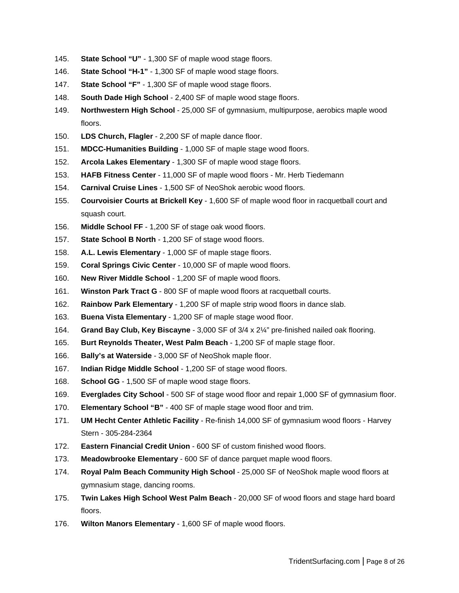- 145. **State School "U"** 1,300 SF of maple wood stage floors.
- 146. **State School "H-1"** 1,300 SF of maple wood stage floors.
- 147. **State School "F"** 1,300 SF of maple wood stage floors.
- 148. **South Dade High School** 2,400 SF of maple wood stage floors.
- 149. **Northwestern High School** 25,000 SF of gymnasium, multipurpose, aerobics maple wood floors.
- 150. **LDS Church, Flagler** 2,200 SF of maple dance floor.
- 151. **MDCC-Humanities Building** 1,000 SF of maple stage wood floors.
- 152. **Arcola Lakes Elementary** 1,300 SF of maple wood stage floors.
- 153. **HAFB Fitness Center** 11,000 SF of maple wood floors Mr. Herb Tiedemann
- 154. **Carnival Cruise Lines** 1,500 SF of NeoShok aerobic wood floors.
- 155. **Courvoisier Courts at Brickell Key** 1,600 SF of maple wood floor in racquetball court and squash court.
- 156. **Middle School FF** 1,200 SF of stage oak wood floors.
- 157. **State School B North** 1,200 SF of stage wood floors.
- 158. **A.L. Lewis Elementary** 1,000 SF of maple stage floors.
- 159. **Coral Springs Civic Center** 10,000 SF of maple wood floors.
- 160. **New River Middle School** 1,200 SF of maple wood floors.
- 161. **Winston Park Tract G** 800 SF of maple wood floors at racquetball courts.
- 162. **Rainbow Park Elementary** 1,200 SF of maple strip wood floors in dance slab.
- 163. **Buena Vista Elementary** 1,200 SF of maple stage wood floor.
- 164. **Grand Bay Club, Key Biscayne** 3,000 SF of 3/4 x 2¼" pre-finished nailed oak flooring.
- 165. **Burt Reynolds Theater, West Palm Beach** 1,200 SF of maple stage floor.
- 166. **Bally's at Waterside** 3,000 SF of NeoShok maple floor.
- 167. **Indian Ridge Middle School** 1,200 SF of stage wood floors.
- 168. **School GG** 1,500 SF of maple wood stage floors.
- 169. **Everglades City School** 500 SF of stage wood floor and repair 1,000 SF of gymnasium floor.
- 170. **Elementary School "B"** 400 SF of maple stage wood floor and trim.
- 171. **UM Hecht Center Athletic Facility** Re-finish 14,000 SF of gymnasium wood floors Harvey Stern - 305-284-2364
- 172. **Eastern Financial Credit Union** 600 SF of custom finished wood floors.
- 173. **Meadowbrooke Elementary** 600 SF of dance parquet maple wood floors.
- 174. **Royal Palm Beach Community High School** 25,000 SF of NeoShok maple wood floors at gymnasium stage, dancing rooms.
- 175. **Twin Lakes High School West Palm Beach** 20,000 SF of wood floors and stage hard board floors.
- 176. **Wilton Manors Elementary** 1,600 SF of maple wood floors.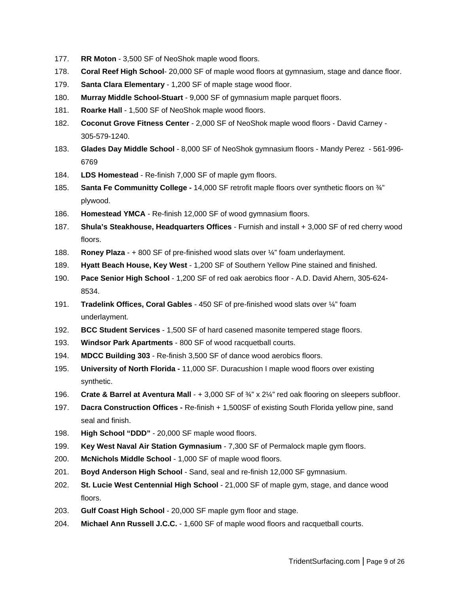- 177. **RR Moton** 3,500 SF of NeoShok maple wood floors.
- 178. **Coral Reef High School** 20,000 SF of maple wood floors at gymnasium, stage and dance floor.
- 179. **Santa Clara Elementary** 1,200 SF of maple stage wood floor.
- 180. **Murray Middle School-Stuart** 9,000 SF of gymnasium maple parquet floors.
- 181. **Roarke Hall** 1,500 SF of NeoShok maple wood floors.
- 182. **Coconut Grove Fitness Center** 2,000 SF of NeoShok maple wood floors David Carney 305-579-1240.
- 183. **Glades Day Middle School** 8,000 SF of NeoShok gymnasium floors Mandy Perez 561-996- 6769
- 184. **LDS Homestead** Re-finish 7,000 SF of maple gym floors.
- 185. **Santa Fe Communitty College -** 14,000 SF retrofit maple floors over synthetic floors on ¾" plywood.
- 186. **Homestead YMCA** Re-finish 12,000 SF of wood gymnasium floors.
- 187. **Shula's Steakhouse, Headquarters Offices** Furnish and install + 3,000 SF of red cherry wood floors.
- 188. **Roney Plaza** + 800 SF of pre-finished wood slats over ¼" foam underlayment.
- 189. **Hyatt Beach House, Key West** 1,200 SF of Southern Yellow Pine stained and finished.
- 190. **Pace Senior High School** 1,200 SF of red oak aerobics floor A.D. David Ahern, 305-624- 8534.
- 191. **Tradelink Offices, Coral Gables** 450 SF of pre-finished wood slats over ¼" foam underlayment.
- 192. **BCC Student Services** 1,500 SF of hard casened masonite tempered stage floors.
- 193. **Windsor Park Apartments** 800 SF of wood racquetball courts.
- 194. **MDCC Building 303** Re-finish 3,500 SF of dance wood aerobics floors.
- 195. **University of North Florida -** 11,000 SF. Duracushion I maple wood floors over existing synthetic.
- 196. **Crate & Barrel at Aventura Mall** + 3,000 SF of ¾" x 2¼" red oak flooring on sleepers subfloor.
- 197. **Dacra Construction Offices -** Re-finish + 1,500SF of existing South Florida yellow pine, sand seal and finish.
- 198. **High School "DDD"** 20,000 SF maple wood floors.
- 199. **Key West Naval Air Station Gymnasium** 7,300 SF of Permalock maple gym floors.
- 200. **McNichols Middle School** 1,000 SF of maple wood floors.
- 201. **Boyd Anderson High School** Sand, seal and re-finish 12,000 SF gymnasium.
- 202. **St. Lucie West Centennial High School** 21,000 SF of maple gym, stage, and dance wood floors.
- 203. **Gulf Coast High School** 20,000 SF maple gym floor and stage.
- 204. **Michael Ann Russell J.C.C.** 1,600 SF of maple wood floors and racquetball courts.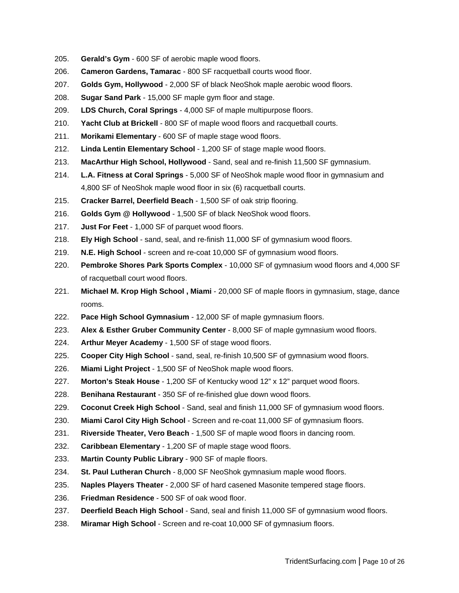- 205. **Gerald's Gym** 600 SF of aerobic maple wood floors.
- 206. **Cameron Gardens, Tamarac** 800 SF racquetball courts wood floor.
- 207. **Golds Gym, Hollywood** 2,000 SF of black NeoShok maple aerobic wood floors.
- 208. **Sugar Sand Park** 15,000 SF maple gym floor and stage.
- 209. **LDS Church, Coral Springs** 4,000 SF of maple multipurpose floors.
- 210. **Yacht Club at Brickell** 800 SF of maple wood floors and racquetball courts.
- 211. **Morikami Elementary** 600 SF of maple stage wood floors.
- 212. **Linda Lentin Elementary School** 1,200 SF of stage maple wood floors.
- 213. **MacArthur High School, Hollywood** Sand, seal and re-finish 11,500 SF gymnasium.
- 214. **L.A. Fitness at Coral Springs** 5,000 SF of NeoShok maple wood floor in gymnasium and 4,800 SF of NeoShok maple wood floor in six (6) racquetball courts.
- 215. **Cracker Barrel, Deerfield Beach** 1,500 SF of oak strip flooring.
- 216. **Golds Gym @ Hollywood** 1,500 SF of black NeoShok wood floors.
- 217. **Just For Feet** 1,000 SF of parquet wood floors.
- 218. **Ely High School** sand, seal, and re-finish 11,000 SF of gymnasium wood floors.
- 219. **N.E. High School** screen and re-coat 10,000 SF of gymnasium wood floors.
- 220. **Pembroke Shores Park Sports Complex** 10,000 SF of gymnasium wood floors and 4,000 SF of racquetball court wood floors.
- 221. **Michael M. Krop High School , Miami** 20,000 SF of maple floors in gymnasium, stage, dance rooms.
- 222. **Pace High School Gymnasium** 12,000 SF of maple gymnasium floors.
- 223. **Alex & Esther Gruber Community Center** 8,000 SF of maple gymnasium wood floors.
- 224. **Arthur Meyer Academy** 1,500 SF of stage wood floors.
- 225. **Cooper City High School** sand, seal, re-finish 10,500 SF of gymnasium wood floors.
- 226. **Miami Light Project** 1,500 SF of NeoShok maple wood floors.
- 227. **Morton's Steak House** 1,200 SF of Kentucky wood 12" x 12" parquet wood floors.
- 228. **Benihana Restaurant** 350 SF of re-finished glue down wood floors.
- 229. **Coconut Creek High School** Sand, seal and finish 11,000 SF of gymnasium wood floors.
- 230. **Miami Carol City High School** Screen and re-coat 11,000 SF of gymnasium floors.
- 231. **Riverside Theater, Vero Beach** 1,500 SF of maple wood floors in dancing room.
- 232. **Caribbean Elementary** 1,200 SF of maple stage wood floors.
- 233. **Martin County Public Library** 900 SF of maple floors.
- 234. **St. Paul Lutheran Church** 8,000 SF NeoShok gymnasium maple wood floors.
- 235. **Naples Players Theater** 2,000 SF of hard casened Masonite tempered stage floors.
- 236. **Friedman Residence** 500 SF of oak wood floor.
- 237. **Deerfield Beach High School** Sand, seal and finish 11,000 SF of gymnasium wood floors.
- 238. **Miramar High School** Screen and re-coat 10,000 SF of gymnasium floors.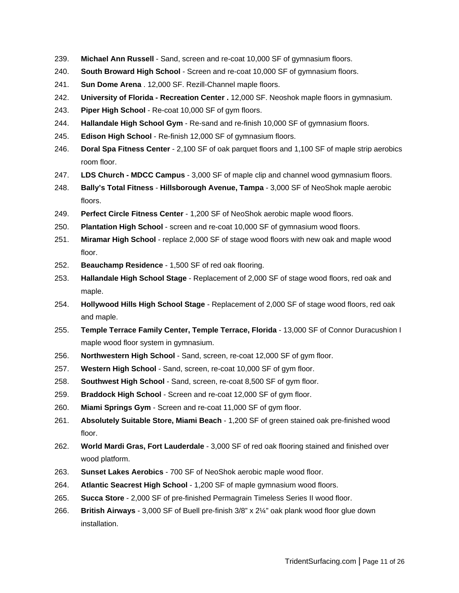- 239. **Michael Ann Russell** Sand, screen and re-coat 10,000 SF of gymnasium floors.
- 240. **South Broward High School** Screen and re-coat 10,000 SF of gymnasium floors.
- 241. **Sun Dome Arena** . 12,000 SF. Rezill-Channel maple floors.
- 242. **University of Florida - Recreation Center .** 12,000 SF. Neoshok maple floors in gymnasium.
- 243. **Piper High School** Re-coat 10,000 SF of gym floors.
- 244. **Hallandale High School Gym** Re-sand and re-finish 10,000 SF of gymnasium floors.
- 245. **Edison High School** Re-finish 12,000 SF of gymnasium floors.
- 246. **Doral Spa Fitness Center** 2,100 SF of oak parquet floors and 1,100 SF of maple strip aerobics room floor.
- 247. **LDS Church - MDCC Campus** 3,000 SF of maple clip and channel wood gymnasium floors.
- 248. **Bally's Total Fitness Hillsborough Avenue, Tampa** 3,000 SF of NeoShok maple aerobic floors.
- 249. **Perfect Circle Fitness Center** 1,200 SF of NeoShok aerobic maple wood floors.
- 250. **Plantation High School** screen and re-coat 10,000 SF of gymnasium wood floors.
- 251. **Miramar High School** replace 2,000 SF of stage wood floors with new oak and maple wood floor.
- 252. **Beauchamp Residence** 1,500 SF of red oak flooring.
- 253. **Hallandale High School Stage** Replacement of 2,000 SF of stage wood floors, red oak and maple.
- 254. **Hollywood Hills High School Stage** Replacement of 2,000 SF of stage wood floors, red oak and maple.
- 255. **Temple Terrace Family Center, Temple Terrace, Florida** 13,000 SF of Connor Duracushion I maple wood floor system in gymnasium.
- 256. **Northwestern High School** Sand, screen, re-coat 12,000 SF of gym floor.
- 257. **Western High School** Sand, screen, re-coat 10,000 SF of gym floor.
- 258. **Southwest High School** Sand, screen, re-coat 8,500 SF of gym floor.
- 259. **Braddock High School** Screen and re-coat 12,000 SF of gym floor.
- 260. **Miami Springs Gym** Screen and re-coat 11,000 SF of gym floor.
- 261. **Absolutely Suitable Store, Miami Beach** 1,200 SF of green stained oak pre-finished wood floor.
- 262. **World Mardi Gras, Fort Lauderdale** 3,000 SF of red oak flooring stained and finished over wood platform.
- 263. **Sunset Lakes Aerobics** 700 SF of NeoShok aerobic maple wood floor.
- 264. **Atlantic Seacrest High School** 1,200 SF of maple gymnasium wood floors.
- 265. **Succa Store** 2,000 SF of pre-finished Permagrain Timeless Series II wood floor.
- 266. **British Airways** 3,000 SF of Buell pre-finish 3/8" x 2¼" oak plank wood floor glue down installation.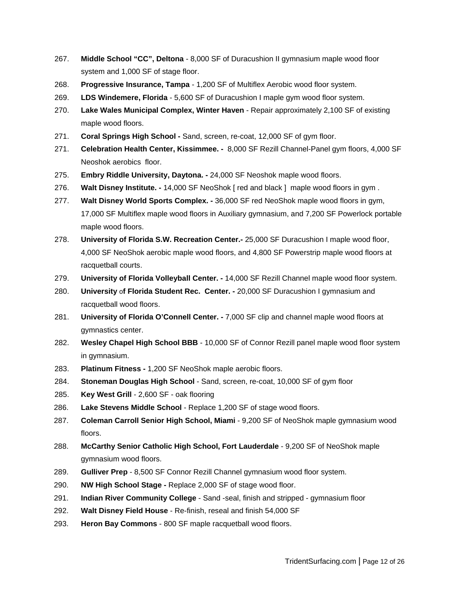- 267. **Middle School "CC", Deltona** 8,000 SF of Duracushion II gymnasium maple wood floor system and 1,000 SF of stage floor.
- 268. **Progressive Insurance, Tampa** 1,200 SF of Multiflex Aerobic wood floor system.
- 269. **LDS Windemere, Florida** 5,600 SF of Duracushion I maple gym wood floor system.
- 270. **Lake Wales Municipal Complex, Winter Haven** Repair approximately 2,100 SF of existing maple wood floors.
- 271. **Coral Springs High School -** Sand, screen, re-coat, 12,000 SF of gym floor.
- 271. **Celebration Health Center, Kissimmee. -** 8,000 SF Rezill Channel-Panel gym floors, 4,000 SF Neoshok aerobics floor.
- 275. **Embry Riddle University, Daytona. -** 24,000 SF Neoshok maple wood floors.
- 276. **Walt Disney Institute. -** 14,000 SF NeoShok [ red and black ] maple wood floors in gym .
- 277. **Walt Disney World Sports Complex. -** 36,000 SF red NeoShok maple wood floors in gym, 17,000 SF Multiflex maple wood floors in Auxiliary gymnasium, and 7,200 SF Powerlock portable maple wood floors.
- 278. **University of Florida S.W. Recreation Center.-** 25,000 SF Duracushion I maple wood floor, 4,000 SF NeoShok aerobic maple wood floors, and 4,800 SF Powerstrip maple wood floors at racquetball courts.
- 279. **University of Florida Volleyball Center. -** 14,000 SF Rezill Channel maple wood floor system.
- 280. **University** o**f Florida Student Rec. Center. -** 20,000 SF Duracushion I gymnasium and racquetball wood floors.
- 281. **University of Florida O'Connell Center. -** 7,000 SF clip and channel maple wood floors at gymnastics center.
- 282. **Wesley Chapel High School BBB** 10,000 SF of Connor Rezill panel maple wood floor system in gymnasium.
- 283. **Platinum Fitness -** 1,200 SF NeoShok maple aerobic floors.
- 284. **Stoneman Douglas High School** Sand, screen, re-coat, 10,000 SF of gym floor
- 285. **Key West Grill** 2,600 SF oak flooring
- 286. **Lake Stevens Middle School** Replace 1,200 SF of stage wood floors.
- 287. **Coleman Carroll Senior High School, Miami** 9,200 SF of NeoShok maple gymnasium wood floors.
- 288. **McCarthy Senior Catholic High School, Fort Lauderdale** 9,200 SF of NeoShok maple gymnasium wood floors.
- 289. **Gulliver Prep** 8,500 SF Connor Rezill Channel gymnasium wood floor system.
- 290. **NW High School Stage -** Replace 2,000 SF of stage wood floor.
- 291. **Indian River Community College** Sand -seal, finish and stripped gymnasium floor
- 292. **Walt Disney Field House** Re-finish, reseal and finish 54,000 SF
- 293. **Heron Bay Commons** 800 SF maple racquetball wood floors.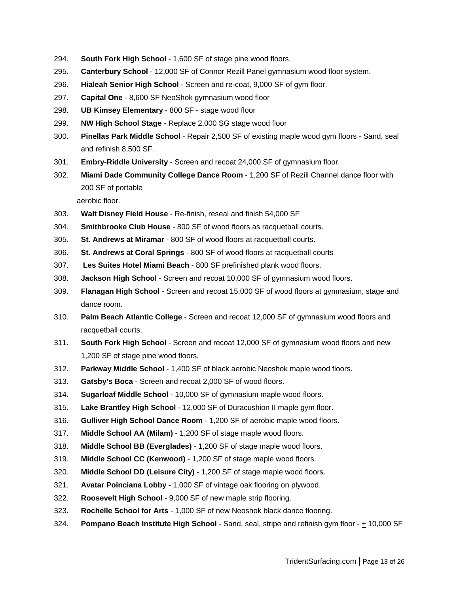- 294. **South Fork High School** 1,600 SF of stage pine wood floors.
- 295. **Canterbury School** 12,000 SF of Connor Rezill Panel gymnasium wood floor system.
- 296. **Hialeah Senior High School** Screen and re-coat, 9,000 SF of gym floor.
- 297. **Capital One** 8,600 SF NeoShok gymnasium wood floor
- 298. **UB Kimsey Elementary** 800 SF stage wood floor
- 299. **NW High School Stage** Replace 2,000 SG stage wood floor
- 300. **Pinellas Park Middle School** Repair 2,500 SF of existing maple wood gym floors Sand, seal and refinish 8,500 SF.
- 301. **Embry-Riddle University** Screen and recoat 24,000 SF of gymnasium floor.
- 302. **Miami Dade Community College Dance Room** 1,200 SF of Rezill Channel dance floor with 200 SF of portable

aerobic floor.

- 303. **Walt Disney Field House** Re-finish, reseal and finish 54,000 SF
- 304. **Smithbrooke Club House** 800 SF of wood floors as racquetball courts.
- 305. **St. Andrews at Miramar** 800 SF of wood floors at racquetball courts.
- 306. **St. Andrews at Coral Springs** 800 SF of wood floors at racquetball courts
- 307. **Les Suites Hotel Miami Beach** 800 SF prefinished plank wood floors.
- 308. **Jackson High School** Screen and recoat 10,000 SF of gymnasium wood floors.
- 309. **Flanagan High School** Screen and recoat 15,000 SF of wood floors at gymnasium, stage and dance room.
- 310. **Palm Beach Atlantic College** Screen and recoat 12,000 SF of gymnasium wood floors and racquetball courts.
- 311. **South Fork High School** Screen and recoat 12,000 SF of gymnasium wood floors and new 1,200 SF of stage pine wood floors.
- 312. **Parkway Middle School** 1,400 SF of black aerobic Neoshok maple wood floors.
- 313. **Gatsby's Boca** Screen and recoat 2,000 SF of wood floors.
- 314. **Sugarloaf Middle School** 10,000 SF of gymnasium maple wood floors.
- 315. **Lake Brantley High School** 12,000 SF of Duracushion II maple gym floor.
- 316. **Gulliver High School Dance Room** 1,200 SF of aerobic maple wood floors.
- 317. **Middle School AA (Milam)** 1,200 SF of stage maple wood floors.
- 318. **Middle School BB (Everglades)** 1,200 SF of stage maple wood floors.
- 319. **Middle School CC (Kenwood)** 1,200 SF of stage maple wood floors.
- 320. **Middle School DD (Leisure City)** 1,200 SF of stage maple wood floors.
- 321. **Avatar Poinciana Lobby -** 1,000 SF of vintage oak flooring on plywood.
- 322. **Roosevelt High School** 9,000 SF of new maple strip flooring.
- 323. **Rochelle School for Arts** 1,000 SF of new Neoshok black dance flooring.
- 324. **Pompano Beach Institute High School** Sand, seal, stripe and refinish gym floor + 10,000 SF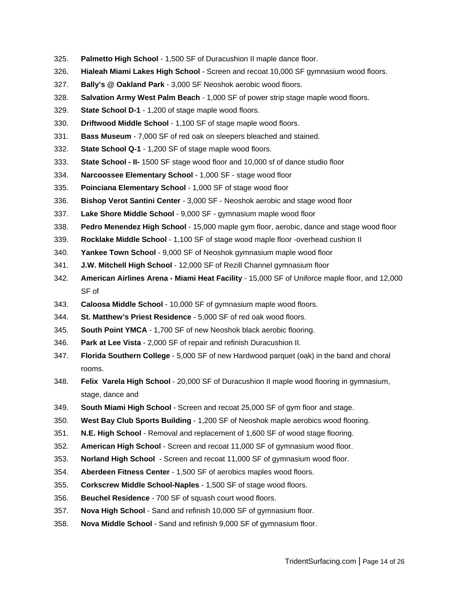- 325. **Palmetto High School** 1,500 SF of Duracushion II maple dance floor.
- 326. **Hialeah Miami Lakes High School** Screen and recoat 10,000 SF gymnasium wood floors.
- 327. **Bally's @ Oakland Park** 3,000 SF Neoshok aerobic wood floors.
- 328. **Salvation Army West Palm Beach** 1,000 SF of power strip stage maple wood floors.
- 329. **State School D-1** 1,200 of stage maple wood floors.
- 330. **Driftwood Middle School** 1,100 SF of stage maple wood floors.
- 331. **Bass Museum** 7,000 SF of red oak on sleepers bleached and stained.
- 332. **State School Q-1** 1,200 SF of stage maple wood floors.
- 333. **State School - II-** 1500 SF stage wood floor and 10,000 sf of dance studio floor
- 334. **Narcoossee Elementary School** 1,000 SF stage wood floor
- 335. **Poinciana Elementary School** 1,000 SF of stage wood floor
- 336. **Bishop Verot Santini Center** 3,000 SF Neoshok aerobic and stage wood floor
- 337. **Lake Shore Middle School** 9,000 SF gymnasium maple wood floor
- 338. **Pedro Menendez High School** 15,000 maple gym floor, aerobic, dance and stage wood floor
- 339. **Rocklake Middle School** 1,100 SF of stage wood maple floor -overhead cushion II
- 340. **Yankee Town School** 9,000 SF of Neoshok gymnasium maple wood floor
- 341. **J.W. Mitchell High School** 12,000 SF of Rezill Channel gymnasium floor
- 342. **American Airlines Arena - Miami Heat Facility** 15,000 SF of Uniforce maple floor, and 12,000 SF of
- 343. **Caloosa Middle School** 10,000 SF of gymnasium maple wood floors.
- 344. **St. Matthew's Priest Residence** 5,000 SF of red oak wood floors.
- 345. **South Point YMCA** 1,700 SF of new Neoshok black aerobic flooring.
- 346. **Park at Lee Vista** 2,000 SF of repair and refinish Duracushion II.
- 347. **Florida Southern College** 5,000 SF of new Hardwood parquet (oak) in the band and choral rooms.
- 348. **Felix Varela High School** 20,000 SF of Duracushion II maple wood flooring in gymnasium, stage, dance and
- 349. **South Miami High School** Screen and recoat 25,000 SF of gym floor and stage.
- 350. **West Bay Club Sports Building** 1,200 SF of Neoshok maple aerobics wood flooring.
- 351. **N.E. High School** Removal and replacement of 1,600 SF of wood stage flooring.
- 352. **American High School** Screen and recoat 11,000 SF of gymnasium wood floor.
- 353. **Norland High School** Screen and recoat 11,000 SF of gymnasium wood floor.
- 354. **Aberdeen Fitness Center** 1,500 SF of aerobics maples wood floors.
- 355. **Corkscrew Middle School-Naples** 1,500 SF of stage wood floors.
- 356. **Beuchel Residence** 700 SF of squash court wood floors.
- 357. **Nova High School** Sand and refinish 10,000 SF of gymnasium floor.
- 358. **Nova Middle School** Sand and refinish 9,000 SF of gymnasium floor.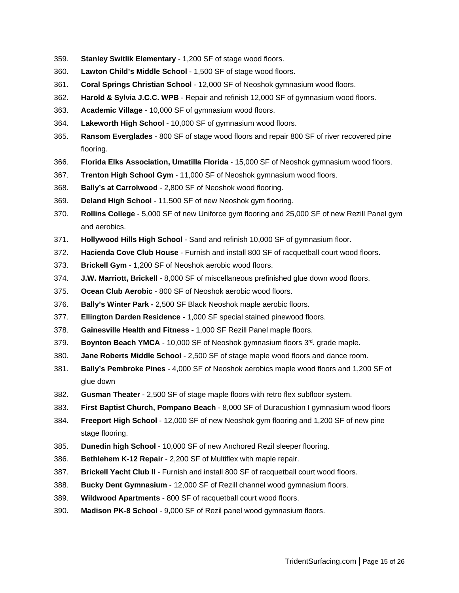- 359. **Stanley Switlik Elementary** 1,200 SF of stage wood floors.
- 360. **Lawton Child's Middle School** 1,500 SF of stage wood floors.
- 361. **Coral Springs Christian School** 12,000 SF of Neoshok gymnasium wood floors.
- 362. **Harold & Sylvia J.C.C. WPB** Repair and refinish 12,000 SF of gymnasium wood floors.
- 363. **Academic Village** 10,000 SF of gymnasium wood floors.
- 364. **Lakeworth High School** 10,000 SF of gymnasium wood floors.
- 365. **Ransom Everglades** 800 SF of stage wood floors and repair 800 SF of river recovered pine flooring.
- 366. **Florida Elks Association, Umatilla Florida** 15,000 SF of Neoshok gymnasium wood floors.
- 367. **Trenton High School Gym** 11,000 SF of Neoshok gymnasium wood floors.
- 368. **Bally's at Carrolwood** 2,800 SF of Neoshok wood flooring.
- 369. **Deland High School** 11,500 SF of new Neoshok gym flooring.
- 370. **Rollins College** 5,000 SF of new Uniforce gym flooring and 25,000 SF of new Rezill Panel gym and aerobics.
- 371. **Hollywood Hills High School** Sand and refinish 10,000 SF of gymnasium floor.
- 372. **Hacienda Cove Club House** Furnish and install 800 SF of racquetball court wood floors.
- 373. **Brickell Gym** 1,200 SF of Neoshok aerobic wood floors.
- 374. **J.W. Marriott, Brickell** 8,000 SF of miscellaneous prefinished glue down wood floors.
- 375. **Ocean Club Aerobic** 800 SF of Neoshok aerobic wood floors.
- 376. **Bally's Winter Park -** 2,500 SF Black Neoshok maple aerobic floors.
- 377. **Ellington Darden Residence -** 1,000 SF special stained pinewood floors.
- 378. **Gainesville Health and Fitness -** 1,000 SF Rezill Panel maple floors.
- 379. **Boynton Beach YMCA** 10,000 SF of Neoshok gymnasium floors 3rd. grade maple.
- 380. **Jane Roberts Middle School** 2,500 SF of stage maple wood floors and dance room.
- 381. **Bally's Pembroke Pines** 4,000 SF of Neoshok aerobics maple wood floors and 1,200 SF of glue down
- 382. **Gusman Theater** 2,500 SF of stage maple floors with retro flex subfloor system.
- 383. **First Baptist Church, Pompano Beach** 8,000 SF of Duracushion I gymnasium wood floors
- 384. **Freeport High School** 12,000 SF of new Neoshok gym flooring and 1,200 SF of new pine stage flooring.
- 385. **Dunedin high School** 10,000 SF of new Anchored Rezil sleeper flooring.
- 386. **Bethlehem K-12 Repair** 2,200 SF of Multiflex with maple repair.
- 387. **Brickell Yacht Club II** Furnish and install 800 SF of racquetball court wood floors.
- 388. **Bucky Dent Gymnasium** 12,000 SF of Rezill channel wood gymnasium floors.
- 389. **Wildwood Apartments** 800 SF of racquetball court wood floors.
- 390. **Madison PK-8 School** 9,000 SF of Rezil panel wood gymnasium floors.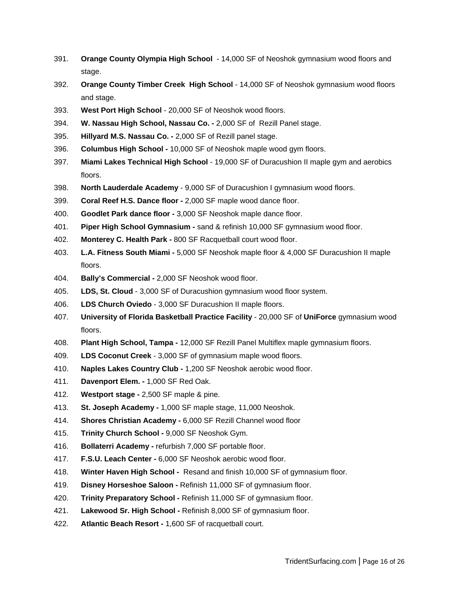- 391. **Orange County Olympia High School** 14,000 SF of Neoshok gymnasium wood floors and stage.
- 392. **Orange County Timber Creek High School** 14,000 SF of Neoshok gymnasium wood floors and stage.
- 393. **West Port High School** 20,000 SF of Neoshok wood floors.
- 394. **W. Nassau High School, Nassau Co. -** 2,000 SF of Rezill Panel stage.
- 395. **Hillyard M.S. Nassau Co. -** 2,000 SF of Rezill panel stage.
- 396. **Columbus High School -** 10,000 SF of Neoshok maple wood gym floors.
- 397. **Miami Lakes Technical High School** 19,000 SF of Duracushion II maple gym and aerobics floors.
- 398. **North Lauderdale Academy** 9,000 SF of Duracushion I gymnasium wood floors.
- 399. **Coral Reef H.S. Dance floor -** 2,000 SF maple wood dance floor.
- 400. **Goodlet Park dance floor -** 3,000 SF Neoshok maple dance floor.
- 401. **Piper High School Gymnasium -** sand & refinish 10,000 SF gymnasium wood floor.
- 402. **Monterey C. Health Park -** 800 SF Racquetball court wood floor.
- 403. **L.A. Fitness South Miami -** 5,000 SF Neoshok maple floor & 4,000 SF Duracushion II maple floors.
- 404. **Bally's Commercial -** 2,000 SF Neoshok wood floor.
- 405. **LDS, St. Cloud** 3,000 SF of Duracushion gymnasium wood floor system.
- 406. **LDS Church Oviedo** 3,000 SF Duracushion II maple floors.
- 407. **University of Florida Basketball Practice Facility** 20,000 SF of **UniForce** gymnasium wood floors.
- 408. **Plant High School, Tampa -** 12,000 SF Rezill Panel Multiflex maple gymnasium floors.
- 409. **LDS Coconut Creek** 3,000 SF of gymnasium maple wood floors.
- 410. **Naples Lakes Country Club -** 1,200 SF Neoshok aerobic wood floor.
- 411. **Davenport Elem. -** 1,000 SF Red Oak.
- 412. **Westport stage -** 2,500 SF maple & pine.
- 413. **St. Joseph Academy -** 1,000 SF maple stage, 11,000 Neoshok.
- 414. **Shores Christian Academy -** 6,000 SF Rezill Channel wood floor
- 415. **Trinity Church School -** 9,000 SF Neoshok Gym.
- 416. **Bollaterri Academy -** refurbish 7,000 SF portable floor.
- 417. **F.S.U. Leach Center -** 6,000 SF Neoshok aerobic wood floor.
- 418. **Winter Haven High School -** Resand and finish 10,000 SF of gymnasium floor.
- 419. **Disney Horseshoe Saloon -** Refinish 11,000 SF of gymnasium floor.
- 420. **Trinity Preparatory School -** Refinish 11,000 SF of gymnasium floor.
- 421. **Lakewood Sr. High School -** Refinish 8,000 SF of gymnasium floor.
- 422. **Atlantic Beach Resort -** 1,600 SF of racquetball court.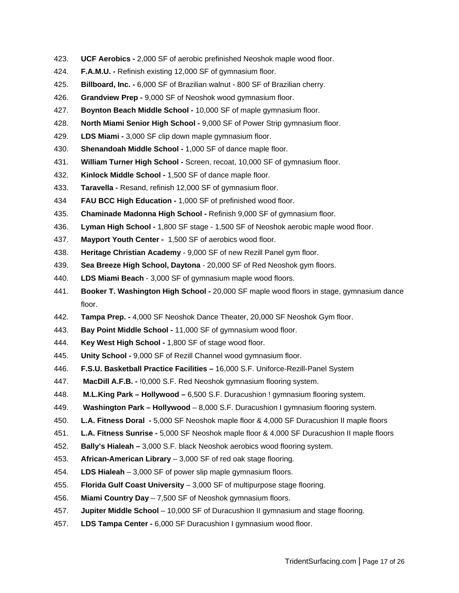- 423. **UCF Aerobics -** 2,000 SF of aerobic prefinished Neoshok maple wood floor.
- 424. **F.A.M.U. -** Refinish existing 12,000 SF of gymnasium floor.
- 425. **Billboard, Inc. -** 6,000 SF of Brazilian walnut 800 SF of Brazilian cherry.
- 426. **Grandview Prep -** 9,000 SF of Neoshok wood gymnasium floor.
- 427. **Boynton Beach Middle School -** 10,000 SF of maple gymnasium floor.
- 428. **North Miami Senior High School -** 9,000 SF of Power Strip gymnasium floor.
- 429. **LDS Miami -** 3,000 SF clip down maple gymnasium floor.
- 430. **Shenandoah Middle School -** 1,000 SF of dance maple floor.
- 431. **William Turner High School -** Screen, recoat, 10,000 SF of gymnasium floor.
- 432. **Kinlock Middle School -** 1,500 SF of dance maple floor.
- 433. **Taravella -** Resand, refinish 12,000 SF of gymnasium floor.
- 434 **FAU BCC High Education -** 1,000 SF of prefinished wood floor.
- 435. **Chaminade Madonna High School -** Refinish 9,000 SF of gymnasium floor.
- 436. **Lyman High School -** 1,800 SF stage 1,500 SF of Neoshok aerobic maple wood floor.
- 437. **Mayport Youth Center -** 1,500 SF of aerobics wood floor.
- 438. **Heritage Christian Academy** 9,000 SF of new Rezill Panel gym floor.
- 439. **Sea Breeze High School, Daytona** 20,000 SF of Red Neoshok gym floors.
- 440. **LDS Miami Beach** 3,000 SF of gymnasium maple wood floors.
- 441. **Booker T. Washington High School -** 20,000 SF maple wood floors in stage, gymnasium dance floor.
- 442. **Tampa Prep. -** 4,000 SF Neoshok Dance Theater, 20,000 SF Neoshok Gym floor.
- 443. **Bay Point Middle School -** 11,000 SF of gymnasium wood floor.
- 444. **Key West High School -** 1,800 SF of stage wood floor.
- 445. **Unity School -** 9,000 SF of Rezill Channel wood gymnasium floor.
- 446. **F.S.U. Basketball Practice Facilities –** 16,000 S.F. Uniforce-Rezill-Panel System
- 447. **MacDill A.F.B. -** !0,000 S.F. Red Neoshok gymnasium flooring system.
- 448. **M.L.King Park – Hollywood –** 6,500 S.F. Duracushion ! gymnasium flooring system.
- 449. **Washington Park – Hollywood** 8,000 S.F. Duracushion I gymnasium flooring system.
- 450. **L.A. Fitness Doral -** 5,000 SF Neoshok maple floor & 4,000 SF Duracushion II maple floors
- 451. **L.A. Fitness Sunrise -** 5,000 SF Neoshok maple floor & 4,000 SF Duracushion II maple floors
- 452. **Bally's Hialeah –** 3,000 S.F. black Neoshok aerobics wood flooring system.
- 453. **African-American Library** 3,000 SF of red oak stage flooring.
- 454. **LDS Hialeah** 3,000 SF of power slip maple gymnasium floors.
- 455. **Florida Gulf Coast University** 3,000 SF of multipurpose stage flooring.
- 456. **Miami Country Day** 7,500 SF of Neoshok gymnasium floors.
- 457. **Jupiter Middle School** 10,000 SF of Duracushion II gymnasium and stage flooring.
- 457. **LDS Tampa Center -** 6,000 SF Duracushion I gymnasium wood floor.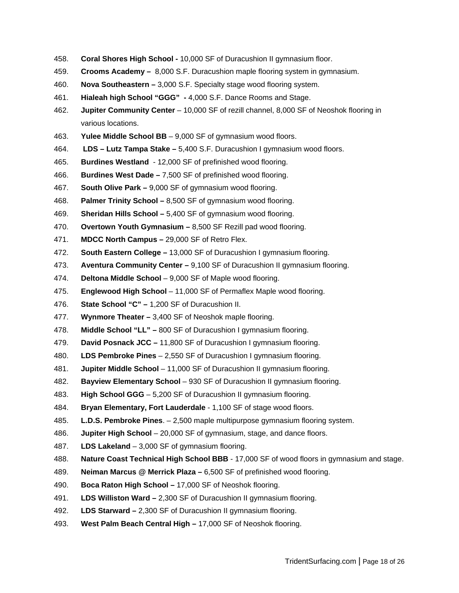- 458. **Coral Shores High School -** 10,000 SF of Duracushion II gymnasium floor.
- 459. **Crooms Academy –** 8,000 S.F. Duracushion maple flooring system in gymnasium.
- 460. **Nova Southeastern –** 3,000 S.F. Specialty stage wood flooring system.
- 461. **Hialeah high School "GGG" -** 4,000 S.F. Dance Rooms and Stage.
- 462. **Jupiter Community Center** 10,000 SF of rezill channel, 8,000 SF of Neoshok flooring in various locations.
- 463. **Yulee Middle School BB** 9,000 SF of gymnasium wood floors.
- 464. **LDS – Lutz Tampa Stake –** 5,400 S.F. Duracushion I gymnasium wood floors.
- 465. **Burdines Westland** 12,000 SF of prefinished wood flooring.
- 466. **Burdines West Dade –** 7,500 SF of prefinished wood flooring.
- 467. **South Olive Park –** 9,000 SF of gymnasium wood flooring.
- 468. **Palmer Trinity School –** 8,500 SF of gymnasium wood flooring.
- 469. **Sheridan Hills School –** 5,400 SF of gymnasium wood flooring.
- 470. **Overtown Youth Gymnasium –** 8,500 SF Rezill pad wood flooring.
- 471. **MDCC North Campus –** 29,000 SF of Retro Flex.
- 472. **South Eastern College –** 13,000 SF of Duracushion I gymnasium flooring.
- 473. **Aventura Community Center –** 9,100 SF of Duracushion II gymnasium flooring.
- 474. **Deltona Middle School** 9,000 SF of Maple wood flooring.
- 475. **Englewood High School** 11,000 SF of Permaflex Maple wood flooring.
- 476. **State School "C" –** 1,200 SF of Duracushion II.
- 477. **Wynmore Theater –** 3,400 SF of Neoshok maple flooring.
- 478. **Middle School "LL" –** 800 SF of Duracushion I gymnasium flooring.
- 479. **David Posnack JCC –** 11,800 SF of Duracushion I gymnasium flooring.
- 480. **LDS Pembroke Pines** 2,550 SF of Duracushion I gymnasium flooring.
- 481. **Jupiter Middle School** 11,000 SF of Duracushion II gymnasium flooring.
- 482. **Bayview Elementary School** 930 SF of Duracushion II gymnasium flooring.
- 483. **High School GGG** 5,200 SF of Duracushion II gymnasium flooring.
- 484. **Bryan Elementary, Fort Lauderdale** 1,100 SF of stage wood floors.
- 485. **L.D.S. Pembroke Pines**. 2,500 maple multipurpose gymnasium flooring system.
- 486. **Jupiter High School** 20,000 SF of gymnasium, stage, and dance floors.
- 487. **LDS Lakeland** 3,000 SF of gymnasium flooring.
- 488. **Nature Coast Technical High School BBB** 17,000 SF of wood floors in gymnasium and stage.
- 489. **Neiman Marcus @ Merrick Plaza –** 6,500 SF of prefinished wood flooring.
- 490. **Boca Raton High School –** 17,000 SF of Neoshok flooring.
- 491. **LDS Williston Ward –** 2,300 SF of Duracushion II gymnasium flooring.
- 492. **LDS Starward –** 2,300 SF of Duracushion II gymnasium flooring.
- 493. **West Palm Beach Central High –** 17,000 SF of Neoshok flooring.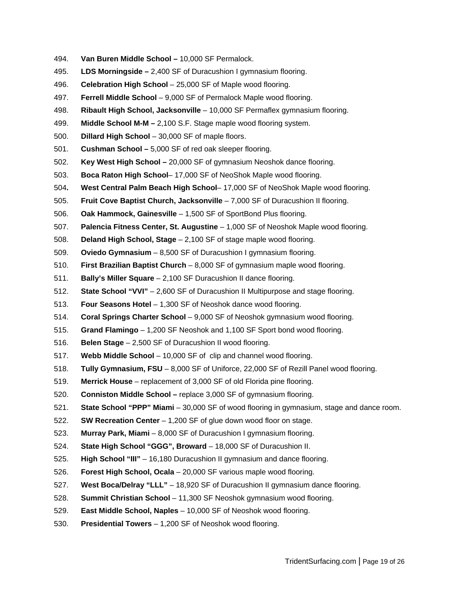- 494. **Van Buren Middle School –** 10,000 SF Permalock.
- 495. **LDS Morningside –** 2,400 SF of Duracushion I gymnasium flooring.
- 496. **Celebration High School** 25,000 SF of Maple wood flooring.
- 497. **Ferrell Middle School** 9,000 SF of Permalock Maple wood flooring.
- 498. **Ribault High School, Jacksonville** 10,000 SF Permaflex gymnasium flooring.
- 499. **Middle School M-M –** 2,100 S.F. Stage maple wood flooring system.
- 500. **Dillard High School** 30,000 SF of maple floors.
- 501. **Cushman School –** 5,000 SF of red oak sleeper flooring.
- 502. **Key West High School –** 20,000 SF of gymnasium Neoshok dance flooring.
- 503. **Boca Raton High School** 17,000 SF of NeoShok Maple wood flooring.
- 504**. West Central Palm Beach High School** 17,000 SF of NeoShok Maple wood flooring.
- 505. **Fruit Cove Baptist Church, Jacksonville** 7,000 SF of Duracushion II flooring.
- 506. **Oak Hammock, Gainesville** 1,500 SF of SportBond Plus flooring.
- 507. **Palencia Fitness Center, St. Augustine** 1,000 SF of Neoshok Maple wood flooring.
- 508. **Deland High School, Stage** 2,100 SF of stage maple wood flooring.
- 509. **Oviedo Gymnasium** 8,500 SF of Duracushion I gymnasium flooring.
- 510. **First Brazilian Baptist Church** 8,000 SF of gymnasium maple wood flooring.
- 511. **Bally's Miller Square** 2,100 SF Duracushion II dance flooring.
- 512. **State School "VVI"** 2,600 SF of Duracushion II Multipurpose and stage flooring.
- 513. **Four Seasons Hotel** 1,300 SF of Neoshok dance wood flooring.
- 514. **Coral Springs Charter School** 9,000 SF of Neoshok gymnasium wood flooring.
- 515. **Grand Flamingo** 1,200 SF Neoshok and 1,100 SF Sport bond wood flooring.
- 516. **Belen Stage** 2,500 SF of Duracushion II wood flooring.
- 517. **Webb Middle School** 10,000 SF of clip and channel wood flooring.
- 518. **Tully Gymnasium, FSU** 8,000 SF of Uniforce, 22,000 SF of Rezill Panel wood flooring.
- 519. **Merrick House** replacement of 3,000 SF of old Florida pine flooring.
- 520. **Conniston Middle School –** replace 3,000 SF of gymnasium flooring.
- 521. **State School "PPP" Miami** 30,000 SF of wood flooring in gymnasium, stage and dance room.
- 522. **SW Recreation Center** 1,200 SF of glue down wood floor on stage.
- 523. **Murray Park, Miami** 8,000 SF of Duracushion I gymnasium flooring.
- 524. **State High School "GGG", Broward** 18,000 SF of Duracushion II.
- 525. **High School "III"** 16,180 Duracushion II gymnasium and dance flooring.
- 526. **Forest High School, Ocala** 20,000 SF various maple wood flooring.
- 527. **West Boca/Delray "LLL"** 18,920 SF of Duracushion II gymnasium dance flooring.
- 528. **Summit Christian School** 11,300 SF Neoshok gymnasium wood flooring.
- 529. **East Middle School, Naples** 10,000 SF of Neoshok wood flooring.
- 530. **Presidential Towers** 1,200 SF of Neoshok wood flooring.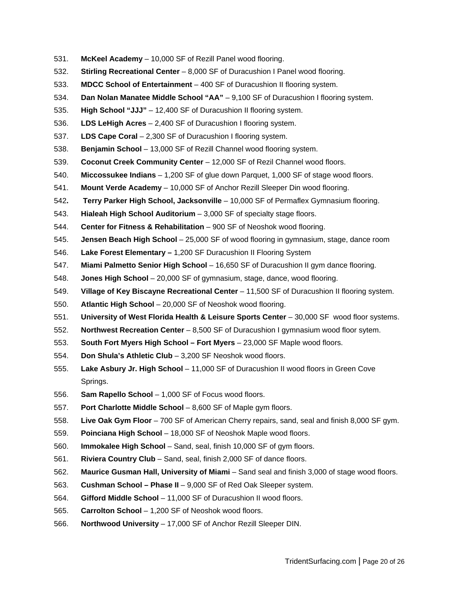- 531. **McKeel Academy** 10,000 SF of Rezill Panel wood flooring.
- 532. **Stirling Recreational Center** 8,000 SF of Duracushion I Panel wood flooring.
- 533. **MDCC School of Entertainment** 400 SF of Duracushion II flooring system.
- 534. **Dan Nolan Manatee Middle School "AA"** 9,100 SF of Duracushion I flooring system.
- 535. **High School "JJJ"** 12,400 SF of Duracushion II flooring system.
- 536. **LDS LeHigh Acres** 2,400 SF of Duracushion I flooring system.
- 537. **LDS Cape Coral** 2,300 SF of Duracushion I flooring system.
- 538. **Benjamin School** 13,000 SF of Rezill Channel wood flooring system.
- 539. **Coconut Creek Community Center** 12,000 SF of Rezil Channel wood floors.
- 540. **Miccossukee Indians** 1,200 SF of glue down Parquet, 1,000 SF of stage wood floors.
- 541. **Mount Verde Academy** 10,000 SF of Anchor Rezill Sleeper Din wood flooring.
- 542**. Terry Parker High School, Jacksonville** 10,000 SF of Permaflex Gymnasium flooring.
- 543. **Hialeah High School Auditorium** 3,000 SF of specialty stage floors.
- 544. **Center for Fitness & Rehabilitation** 900 SF of Neoshok wood flooring.
- 545. **Jensen Beach High School** 25,000 SF of wood flooring in gymnasium, stage, dance room
- 546. **Lake Forest Elementary –** 1,200 SF Duracushion II Flooring System
- 547. **Miami Palmetto Senior High School** 16,650 SF of Duracushion II gym dance flooring.
- 548. **Jones High School** 20,000 SF of gymnasium, stage, dance, wood flooring.
- 549. **Village of Key Biscayne Recreational Center** 11,500 SF of Duracushion II flooring system.
- 550. **Atlantic High School** 20,000 SF of Neoshok wood flooring.
- 551. **University of West Florida Health & Leisure Sports Center** 30,000 SF wood floor systems.
- 552. **Northwest Recreation Center** 8,500 SF of Duracushion I gymnasium wood floor sytem.
- 553. **South Fort Myers High School – Fort Myers** 23,000 SF Maple wood floors.
- 554. **Don Shula's Athletic Club** 3,200 SF Neoshok wood floors.
- 555. **Lake Asbury Jr. High School** 11,000 SF of Duracushion II wood floors in Green Cove Springs.
- 556. **Sam Rapello School** 1,000 SF of Focus wood floors.
- 557. **Port Charlotte Middle School** 8,600 SF of Maple gym floors.
- 558. **Live Oak Gym Floor** 700 SF of American Cherry repairs, sand, seal and finish 8,000 SF gym.
- 559. **Poinciana High School** 18,000 SF of Neoshok Maple wood floors.
- 560. **Immokalee High School** Sand, seal, finish 10,000 SF of gym floors.
- 561. **Riviera Country Club** Sand, seal, finish 2,000 SF of dance floors.
- 562. **Maurice Gusman Hall, University of Miami** Sand seal and finish 3,000 of stage wood floors.
- 563. **Cushman School – Phase II** 9,000 SF of Red Oak Sleeper system.
- 564. **Gifford Middle School** 11,000 SF of Duracushion II wood floors.
- 565. **Carrolton School** 1,200 SF of Neoshok wood floors.
- 566. **Northwood University** 17,000 SF of Anchor Rezill Sleeper DIN.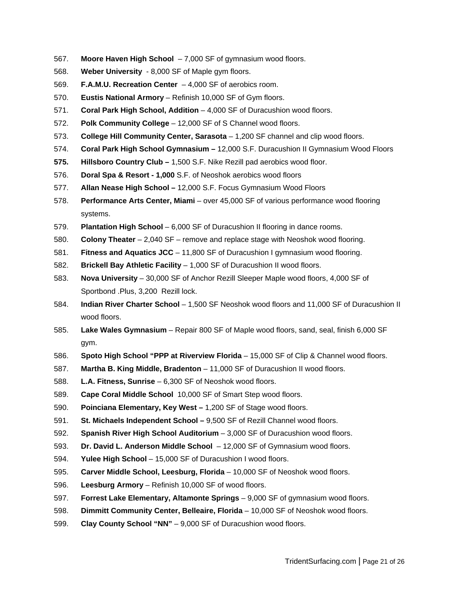- 567. **Moore Haven High School** 7,000 SF of gymnasium wood floors.
- 568. **Weber University** 8,000 SF of Maple gym floors.
- 569. **F.A.M.U. Recreation Center** 4,000 SF of aerobics room.
- 570. **Eustis National Armory** Refinish 10,000 SF of Gym floors.
- 571. **Coral Park High School, Addition** 4,000 SF of Duracushion wood floors.
- 572. **Polk Community College** 12,000 SF of S Channel wood floors.
- 573. **College Hill Community Center, Sarasota** 1,200 SF channel and clip wood floors.
- 574. **Coral Park High School Gymnasium –** 12,000 S.F. Duracushion II Gymnasium Wood Floors
- **575. Hillsboro Country Club –** 1,500 S.F. Nike Rezill pad aerobics wood floor.
- 576. **Doral Spa & Resort - 1,000** S.F. of Neoshok aerobics wood floors
- 577. **Allan Nease High School –** 12,000 S.F. Focus Gymnasium Wood Floors
- 578. **Performance Arts Center, Miami** over 45,000 SF of various performance wood flooring systems.
- 579. **Plantation High School** 6,000 SF of Duracushion II flooring in dance rooms.
- 580. **Colony Theater** 2,040 SF remove and replace stage with Neoshok wood flooring.
- 581. **Fitness and Aquatics JCC** 11,800 SF of Duracushion I gymnasium wood flooring.
- 582. **Brickell Bay Athletic Facility** 1,000 SF of Duracushion II wood floors.
- 583. **Nova University** 30,000 SF of Anchor Rezill Sleeper Maple wood floors, 4,000 SF of Sportbond .Plus, 3,200 Rezill lock.
- 584. **Indian River Charter School** 1,500 SF Neoshok wood floors and 11,000 SF of Duracushion II wood floors.
- 585. **Lake Wales Gymnasium** Repair 800 SF of Maple wood floors, sand, seal, finish 6,000 SF gym.
- 586. **Spoto High School "PPP at Riverview Florida** 15,000 SF of Clip & Channel wood floors.
- 587. **Martha B. King Middle, Bradenton** 11,000 SF of Duracushion II wood floors.
- 588. **L.A. Fitness, Sunrise** 6,300 SF of Neoshok wood floors.
- 589. **Cape Coral Middle School** 10,000 SF of Smart Step wood floors.
- 590. **Poinciana Elementary, Key West –** 1,200 SF of Stage wood floors.
- 591. **St. Michaels Independent School –** 9,500 SF of Rezill Channel wood floors.
- 592. **Spanish River High School Auditorium** 3,000 SF of Duracushion wood floors.
- 593. **Dr. David L. Anderson Middle School** 12,000 SF of Gymnasium wood floors.
- 594. **Yulee High School** 15,000 SF of Duracushion I wood floors.
- 595. **Carver Middle School, Leesburg, Florida** 10,000 SF of Neoshok wood floors.
- 596. **Leesburg Armory** Refinish 10,000 SF of wood floors.
- 597. **Forrest Lake Elementary, Altamonte Springs** 9,000 SF of gymnasium wood floors.
- 598. **Dimmitt Community Center, Belleaire, Florida** 10,000 SF of Neoshok wood floors.
- 599. **Clay County School "NN"** 9,000 SF of Duracushion wood floors.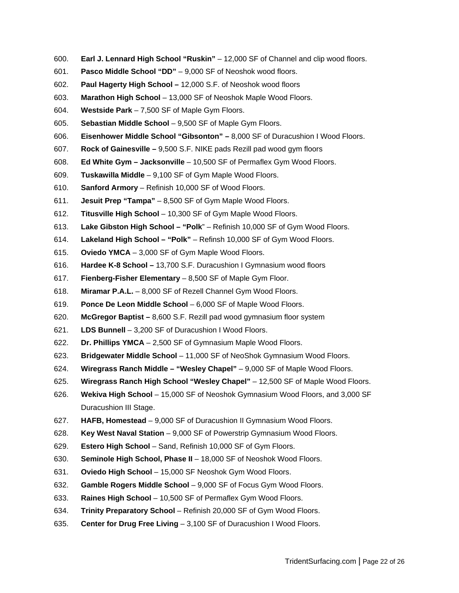- 600. **Earl J. Lennard High School "Ruskin"** 12,000 SF of Channel and clip wood floors.
- 601. **Pasco Middle School "DD"** 9,000 SF of Neoshok wood floors.
- 602. **Paul Hagerty High School –** 12,000 S.F. of Neoshok wood floors
- 603. **Marathon High School** 13,000 SF of Neoshok Maple Wood Floors.
- 604. **Westside Park** 7,500 SF of Maple Gym Floors.
- 605. **Sebastian Middle School** 9,500 SF of Maple Gym Floors.
- 606. **Eisenhower Middle School "Gibsonton" –** 8,000 SF of Duracushion I Wood Floors.
- 607. **Rock of Gainesville –** 9,500 S.F. NIKE pads Rezill pad wood gym floors
- 608. **Ed White Gym – Jacksonville** 10,500 SF of Permaflex Gym Wood Floors.
- 609. **Tuskawilla Middle** 9,100 SF of Gym Maple Wood Floors.
- 610. **Sanford Armory** Refinish 10,000 SF of Wood Floors.
- 611. **Jesuit Prep "Tampa"** 8,500 SF of Gym Maple Wood Floors.
- 612. **Titusville High School** 10,300 SF of Gym Maple Wood Floors.
- 613. **Lake Gibston High School – "Polk**" Refinish 10,000 SF of Gym Wood Floors.
- 614. **Lakeland High School – "Polk"** Refinsh 10,000 SF of Gym Wood Floors.
- 615. **Oviedo YMCA** 3,000 SF of Gym Maple Wood Floors.
- 616. **Hardee K-8 School –** 13,700 S.F. Duracushion I Gymnasium wood floors
- 617. **Fienberg-Fisher Elementary** 8,500 SF of Maple Gym Floor.
- 618. **Miramar P.A.L.** 8,000 SF of Rezell Channel Gym Wood Floors.
- 619. **Ponce De Leon Middle School** 6,000 SF of Maple Wood Floors.
- 620. **McGregor Baptist –** 8,600 S.F. Rezill pad wood gymnasium floor system
- 621. **LDS Bunnell** 3,200 SF of Duracushion I Wood Floors.
- 622. **Dr. Phillips YMCA** 2,500 SF of Gymnasium Maple Wood Floors.
- 623. **Bridgewater Middle School** 11,000 SF of NeoShok Gymnasium Wood Floors.
- 624. **Wiregrass Ranch Middle – "Wesley Chapel"** 9,000 SF of Maple Wood Floors.
- 625. **Wiregrass Ranch High School "Wesley Chapel"** 12,500 SF of Maple Wood Floors.
- 626. **Wekiva High School** 15,000 SF of Neoshok Gymnasium Wood Floors, and 3,000 SF Duracushion III Stage.
- 627. **HAFB, Homestead** 9,000 SF of Duracushion II Gymnasium Wood Floors.
- 628. **Key West Naval Station** 9,000 SF of Powerstrip Gymnasium Wood Floors.
- 629. **Estero High School** Sand, Refinish 10,000 SF of Gym Floors.
- 630. **Seminole High School, Phase II** 18,000 SF of Neoshok Wood Floors.
- 631. **Oviedo High School** 15,000 SF Neoshok Gym Wood Floors.
- 632. **Gamble Rogers Middle School** 9,000 SF of Focus Gym Wood Floors.
- 633. **Raines High School** 10,500 SF of Permaflex Gym Wood Floors.
- 634. **Trinity Preparatory School** Refinish 20,000 SF of Gym Wood Floors.
- 635. **Center for Drug Free Living** 3,100 SF of Duracushion I Wood Floors.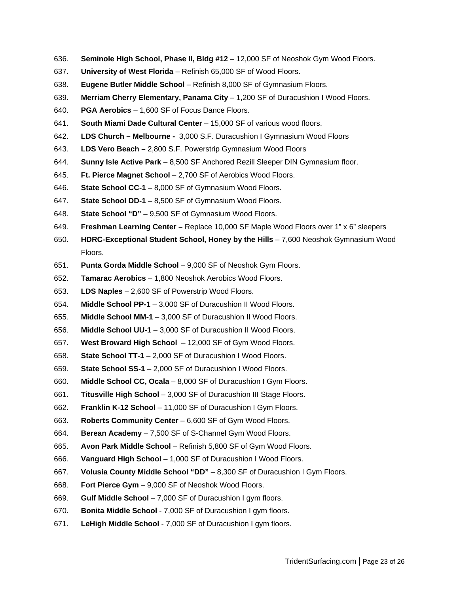- 636. **Seminole High School, Phase II, Bldg #12** 12,000 SF of Neoshok Gym Wood Floors.
- 637. **University of West Florida** Refinish 65,000 SF of Wood Floors.
- 638. **Eugene Butler Middle School** Refinish 8,000 SF of Gymnasium Floors.
- 639. **Merriam Cherry Elementary, Panama City** 1,200 SF of Duracushion I Wood Floors.
- 640. **PGA Aerobics** 1,600 SF of Focus Dance Floors.
- 641. **South Miami Dade Cultural Center** 15,000 SF of various wood floors.
- 642. **LDS Church – Melbourne -** 3,000 S.F. Duracushion I Gymnasium Wood Floors
- 643. **LDS Vero Beach –** 2,800 S.F. Powerstrip Gymnasium Wood Floors
- 644. **Sunny Isle Active Park** 8,500 SF Anchored Rezill Sleeper DIN Gymnasium floor.
- 645. **Ft. Pierce Magnet School** 2,700 SF of Aerobics Wood Floors.
- 646. **State School CC-1** 8,000 SF of Gymnasium Wood Floors.
- 647. **State School DD-1** 8,500 SF of Gymnasium Wood Floors.
- 648. **State School "D"** 9,500 SF of Gymnasium Wood Floors.
- 649. **Freshman Learning Center –** Replace 10,000 SF Maple Wood Floors over 1" x 6" sleepers
- 650. **HDRC-Exceptional Student School, Honey by the Hills** 7,600 Neoshok Gymnasium Wood Floors.
- 651. **Punta Gorda Middle School** 9,000 SF of Neoshok Gym Floors.
- 652. **Tamarac Aerobics** 1,800 Neoshok Aerobics Wood Floors.
- 653. **LDS Naples** 2,600 SF of Powerstrip Wood Floors.
- 654. **Middle School PP-1** 3,000 SF of Duracushion II Wood Floors.
- 655. **Middle School MM-1** 3,000 SF of Duracushion II Wood Floors.
- 656. **Middle School UU-1** 3,000 SF of Duracushion II Wood Floors.
- 657. **West Broward High School** 12,000 SF of Gym Wood Floors.
- 658. **State School TT-1** 2,000 SF of Duracushion I Wood Floors.
- 659. **State School SS-1** 2,000 SF of Duracushion I Wood Floors.
- 660. **Middle School CC, Ocala** 8,000 SF of Duracushion I Gym Floors.
- 661. **Titusville High School** 3,000 SF of Duracushion III Stage Floors.
- 662. **Franklin K-12 School** 11,000 SF of Duracushion I Gym Floors.
- 663. **Roberts Community Center** 6,600 SF of Gym Wood Floors.
- 664. **Berean Academy** 7,500 SF of S-Channel Gym Wood Floors.
- 665. **Avon Park Middle School** Refinish 5,800 SF of Gym Wood Floors.
- 666. **Vanguard High School** 1,000 SF of Duracushion I Wood Floors.
- 667. **Volusia County Middle School "DD"** 8,300 SF of Duracushion I Gym Floors.
- 668. **Fort Pierce Gym** 9,000 SF of Neoshok Wood Floors.
- 669. **Gulf Middle School** 7,000 SF of Duracushion I gym floors.
- 670. **Bonita Middle School** 7,000 SF of Duracushion I gym floors.
- 671. **LeHigh Middle School** 7,000 SF of Duracushion I gym floors.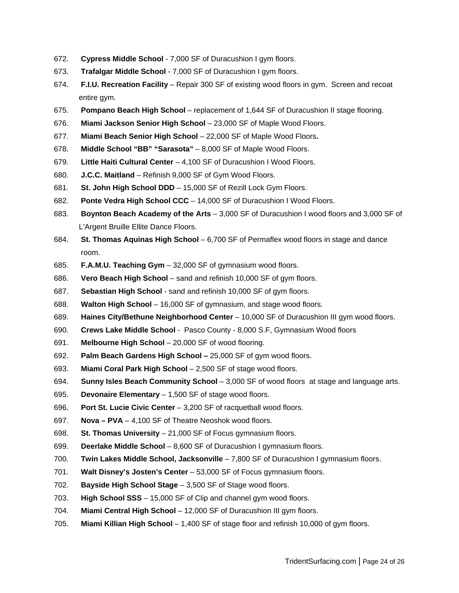- 672. **Cypress Middle School** 7,000 SF of Duracushion I gym floors.
- 673. **Trafalgar Middle School** 7,000 SF of Duracushion I gym floors.
- 674. **F.I.U. Recreation Facility** Repair 300 SF of existing wood floors in gym. Screen and recoat entire gym.
- 675. **Pompano Beach High School** replacement of 1,644 SF of Duracushion II stage flooring.
- 676. **Miami Jackson Senior High School** 23,000 SF of Maple Wood Floors.
- 677. **Miami Beach Senior High School** 22,000 SF of Maple Wood Floors**.**
- 678. **Middle School "BB" "Sarasota"** 8,000 SF of Maple Wood Floors.
- 679. **Little Haiti Cultural Center** 4,100 SF of Duracushion I Wood Floors.
- 680. **J.C.C. Maitland** Refinish 9,000 SF of Gym Wood Floors.
- 681. **St. John High School DDD** 15,000 SF of Rezill Lock Gym Floors.
- 682. **Ponte Vedra High School CCC** 14,000 SF of Duracushion I Wood Floors.
- 683. **Boynton Beach Academy of the Arts** 3,000 SF of Duracushion I wood floors and 3,000 SF of L'Argent Bruille Ellite Dance Floors.
- 684. **St. Thomas Aquinas High School** 6,700 SF of Permaflex wood floors in stage and dance room.
- 685. **F.A.M.U. Teaching Gym** 32,000 SF of gymnasium wood floors.
- 686. **Vero Beach High School** sand and refinish 10,000 SF of gym floors.
- 687. **Sebastian High School** sand and refinish 10,000 SF of gym floors.
- 688. **Walton High School** 16,000 SF of gymnasium, and stage wood floors.
- 689. **Haines City/Bethune Neighborhood Center** 10,000 SF of Duracushion III gym wood floors.
- 690. **Crews Lake Middle School** Pasco County 8,000 S.F, Gymnasium Wood floors
- 691. **Melbourne High School** 20,000 SF of wood flooring.
- 692. **Palm Beach Gardens High School –** 25,000 SF of gym wood floors.
- 693. **Miami Coral Park High School** 2,500 SF of stage wood floors.
- 694. **Sunny Isles Beach Community School** 3,000 SF of wood floors at stage and language arts.
- 695. **Devonaire Elementary** 1,500 SF of stage wood floors.
- 696. **Port St. Lucie Civic Center** 3,200 SF of racquetball wood floors.
- 697. **Nova – PVA** 4,100 SF of Theatre Neoshok wood floors.
- 698. **St. Thomas University** 21,000 SF of Focus gymnasium floors.
- 699. **Deerlake Middle School** 8,600 SF of Duracushion I gymnasium floors.
- 700. **Twin Lakes Middle School, Jacksonville** 7,800 SF of Duracushion I gymnasium floors.
- 701. **Walt Disney's Josten's Center** 53,000 SF of Focus gymnasium floors.
- 702. **Bayside High School Stage** 3,500 SF of Stage wood floors.
- 703. **High School SSS** 15,000 SF of Clip and channel gym wood floors.
- 704. **Miami Central High School** 12,000 SF of Duracushion III gym floors.
- 705. **Miami Killian High School** 1,400 SF of stage floor and refinish 10,000 of gym floors.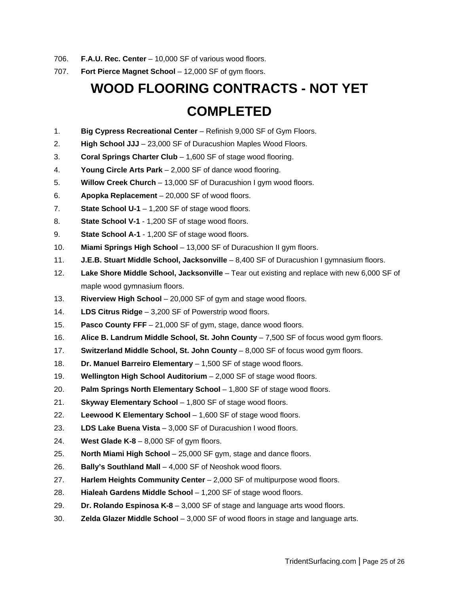- 706. **F.A.U. Rec. Center** 10,000 SF of various wood floors.
- 707. **Fort Pierce Magnet School** 12,000 SF of gym floors.

# **WOOD FLOORING CONTRACTS - NOT YET COMPLETED**

- 1. **Big Cypress Recreational Center** Refinish 9,000 SF of Gym Floors.
- 2. **High School JJJ** 23,000 SF of Duracushion Maples Wood Floors.
- 3. **Coral Springs Charter Club** 1,600 SF of stage wood flooring.
- 4. **Young Circle Arts Park** 2,000 SF of dance wood flooring.
- 5. **Willow Creek Church** 13,000 SF of Duracushion I gym wood floors.
- 6. **Apopka Replacement** 20,000 SF of wood floors.
- 7. **State School U-1** 1,200 SF of stage wood floors.
- 8. **State School V-1** 1,200 SF of stage wood floors.
- 9. **State School A-1** 1,200 SF of stage wood floors.
- 10. **Miami Springs High School** 13,000 SF of Duracushion II gym floors.
- 11. **J.E.B. Stuart Middle School, Jacksonville** 8,400 SF of Duracushion I gymnasium floors.
- 12. **Lake Shore Middle School, Jacksonville** Tear out existing and replace with new 6,000 SF of maple wood gymnasium floors.
- 13. **Riverview High School** 20,000 SF of gym and stage wood floors.
- 14. **LDS Citrus Ridge** 3,200 SF of Powerstrip wood floors.
- 15. **Pasco County FFF** 21,000 SF of gym, stage, dance wood floors.
- 16. **Alice B. Landrum Middle School, St. John County** 7,500 SF of focus wood gym floors.
- 17. **Switzerland Middle School, St. John County** 8,000 SF of focus wood gym floors.
- 18. **Dr. Manuel Barreiro Elementary** 1,500 SF of stage wood floors.
- 19. **Wellington High School Auditorium** 2,000 SF of stage wood floors.
- 20. **Palm Springs North Elementary School** 1,800 SF of stage wood floors.
- 21. **Skyway Elementary School** 1,800 SF of stage wood floors.
- 22. **Leewood K Elementary School** 1,600 SF of stage wood floors.
- 23. **LDS Lake Buena Vista** 3,000 SF of Duracushion I wood floors.
- 24. **West Glade K-8** 8,000 SF of gym floors.
- 25. **North Miami High School** 25,000 SF gym, stage and dance floors.
- 26. **Bally's Southland Mall** 4,000 SF of Neoshok wood floors.
- 27. **Harlem Heights Community Center** 2,000 SF of multipurpose wood floors.
- 28. **Hialeah Gardens Middle School** 1,200 SF of stage wood floors.
- 29. **Dr. Rolando Espinosa K-8** 3,000 SF of stage and language arts wood floors.
- 30. **Zelda Glazer Middle School** 3,000 SF of wood floors in stage and language arts.